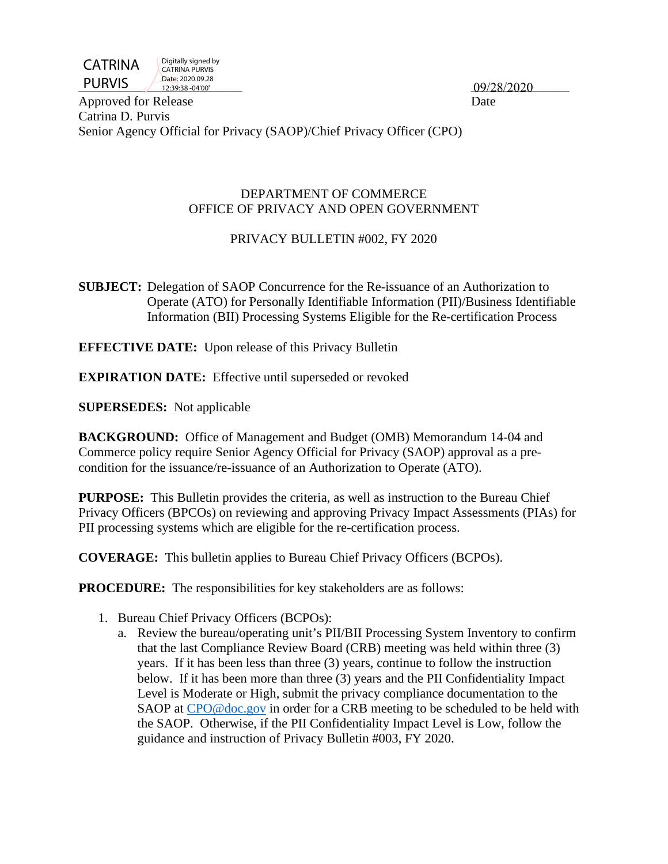

Digitally signed by CATRINA PURVIS Date: 2020.09.28 12:39:38 -04'00'

PURVIS  $\frac{12.39.38 - 04'00''}{12.39.38 - 04'00''}$  09/28/2020

Approved for Release Date Catrina D. Purvis Senior Agency Official for Privacy (SAOP)/Chief Privacy Officer (CPO)

#### DEPARTMENT OF COMMERCE OFFICE OF PRIVACY AND OPEN GOVERNMENT

# PRIVACY BULLETIN #002, FY 2020

**SUBJECT:** Delegation of SAOP Concurrence for the Re-issuance of an Authorization to Operate (ATO) for Personally Identifiable Information (PII)/Business Identifiable Information (BII) Processing Systems Eligible for the Re-certification Process

**EFFECTIVE DATE:** Upon release of this Privacy Bulletin

**EXPIRATION DATE:** Effective until superseded or revoked

**SUPERSEDES:** Not applicable

**BACKGROUND:** Office of Management and Budget (OMB) Memorandum 14-04 and Commerce policy require Senior Agency Official for Privacy (SAOP) approval as a precondition for the issuance/re-issuance of an Authorization to Operate (ATO).

**PURPOSE:** This Bulletin provides the criteria, as well as instruction to the Bureau Chief Privacy Officers (BPCOs) on reviewing and approving Privacy Impact Assessments (PIAs) for PII processing systems which are eligible for the re-certification process.

**COVERAGE:** This bulletin applies to Bureau Chief Privacy Officers (BCPOs).

**PROCEDURE:** The responsibilities for key stakeholders are as follows:

- 1. Bureau Chief Privacy Officers (BCPOs):
	- a. Review the bureau/operating unit's PII/BII Processing System Inventory to confirm that the last Compliance Review Board (CRB) meeting was held within three (3) years. If it has been less than three (3) years, continue to follow the instruction below. If it has been more than three (3) years and the PII Confidentiality Impact Level is Moderate or High, submit the privacy compliance documentation to the SAOP at [CPO@doc.gov](mailto:CPO@doc.gov) in order for a CRB meeting to be scheduled to be held with the SAOP. Otherwise, if the PII Confidentiality Impact Level is Low, follow the guidance and instruction of Privacy Bulletin #003, FY 2020.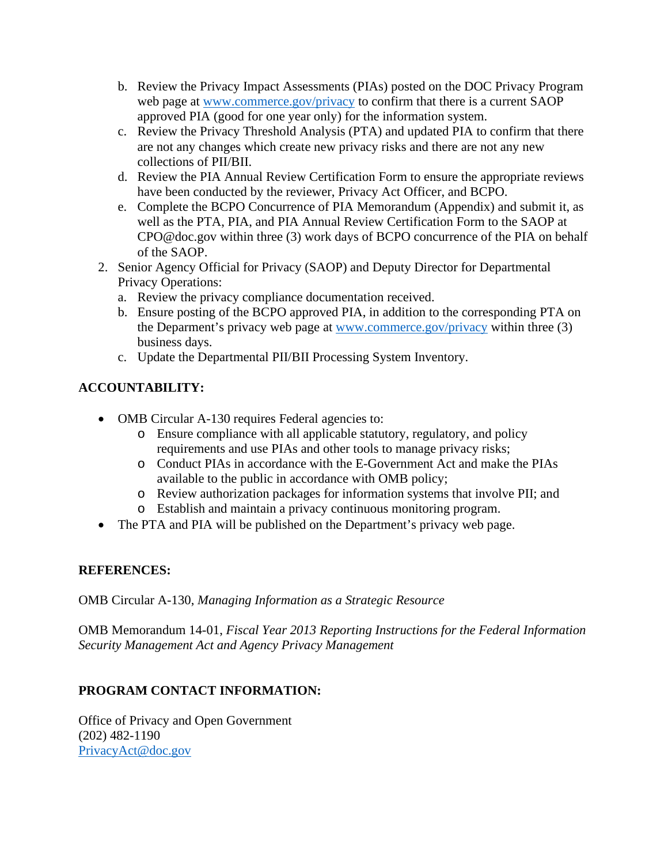- b. Review the Privacy Impact Assessments (PIAs) posted on the DOC Privacy Program web page at [www.commerce.gov/privacy](http://www.commerce.gov/privacy) to confirm that there is a current SAOP approved PIA (good for one year only) for the information system.
- c. Review the Privacy Threshold Analysis (PTA) and updated PIA to confirm that there are not any changes which create new privacy risks and there are not any new collections of PII/BII.
- d. Review the PIA Annual Review Certification Form to ensure the appropriate reviews have been conducted by the reviewer, Privacy Act Officer, and BCPO.
- e. Complete the BCPO Concurrence of PIA Memorandum (Appendix) and submit it, as well as the PTA, PIA, and PIA Annual Review Certification Form to the SAOP at CPO@doc.gov within three (3) work days of BCPO concurrence of the PIA on behalf of the SAOP.
- 2. Senior Agency Official for Privacy (SAOP) and Deputy Director for Departmental Privacy Operations:
	- a. Review the privacy compliance documentation received.
	- b. Ensure posting of the BCPO approved PIA, in addition to the corresponding PTA on the Deparment's privacy web page at [www.commerce.gov/privacy](http://www.commerce.gov/privacy) within three (3) business days.
	- c. Update the Departmental PII/BII Processing System Inventory.

# **ACCOUNTABILITY:**

- OMB Circular A-130 requires Federal agencies to:
	- o Ensure compliance with all applicable statutory, regulatory, and policy requirements and use PIAs and other tools to manage privacy risks;
	- o Conduct PIAs in accordance with the E-Government Act and make the PIAs available to the public in accordance with OMB policy;
	- o Review authorization packages for information systems that involve PII; and
	- o Establish and maintain a privacy continuous monitoring program.
- The PTA and PIA will be published on the Department's privacy web page.

### **REFERENCES:**

OMB Circular A-130, *Managing Information as a Strategic Resource*

OMB Memorandum 14-01, *Fiscal Year 2013 Reporting Instructions for the Federal Information Security Management Act and Agency Privacy Management*

# **PROGRAM CONTACT INFORMATION:**

Office of Privacy and Open Government (202) 482-1190 [PrivacyAct@doc.gov](mailto:PrivacyAct@doc.gov)